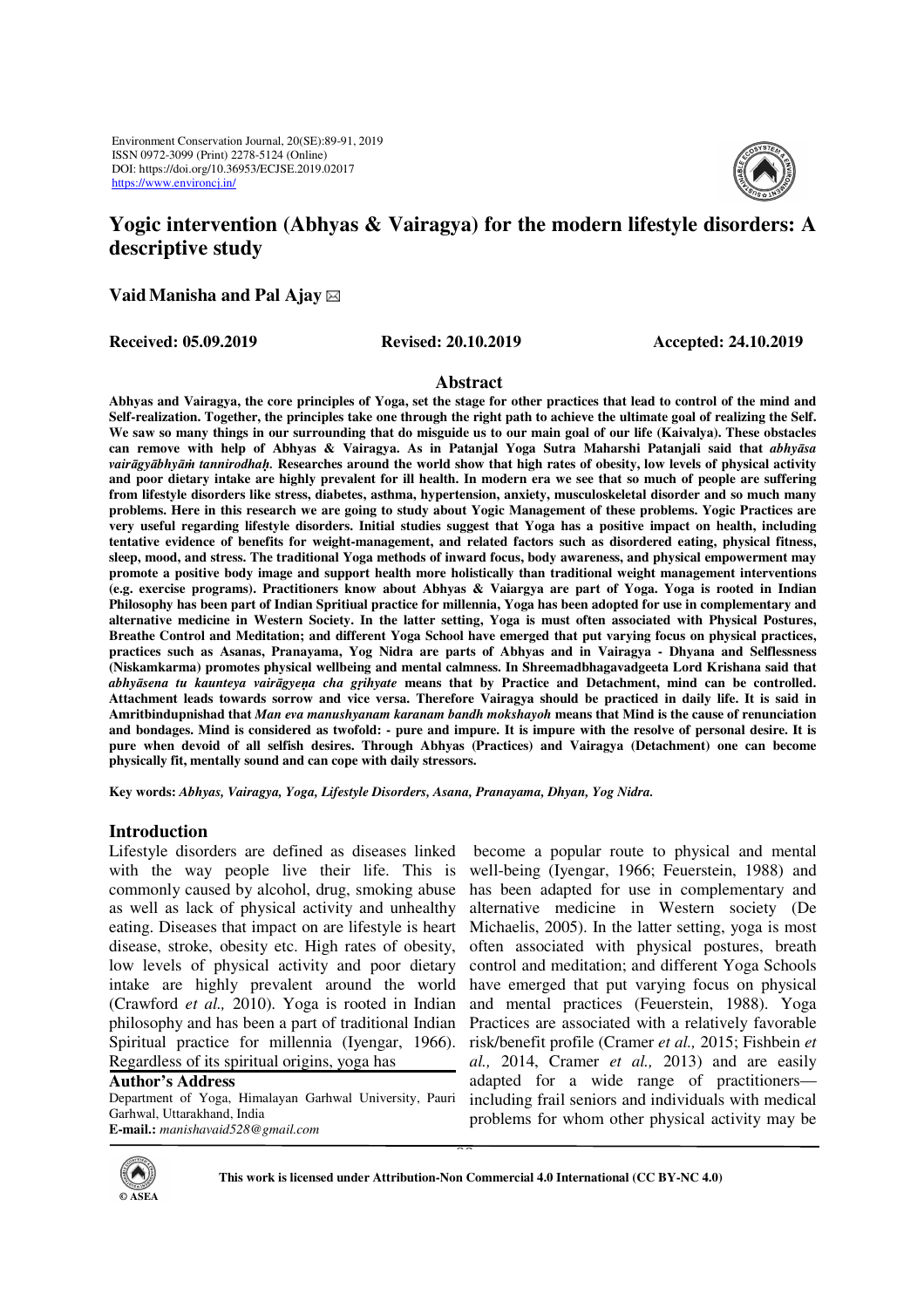

# **Yogic intervention (Abhyas & Vairagya) for the modern lifestyle disorders: A descriptive study**

**VaidManisha and Pal Ajay** 

**Received: 05.09.2019 Revised: 20.10.2019 Accepted: 24.10.2019** 

#### **Abstract**

**Abhyas and Vairagya, the core principles of Yoga, set the stage for other practices that lead to control of the mind and Self-realization. Together, the principles take one through the right path to achieve the ultimate goal of realizing the Self.**  We saw so many things in our surrounding that do misguide us to our main goal of our life (Kaivalya). These obstacles **can remove with help of Abhyas & Vairagya. As in Patanjal Yoga Sutra Maharshi Patanjali said that** *abhyāsa vairāgyābhyāṁ tannirodhaḥ.* **Researches around the world show that high rates of obesity, low levels of physical activity and poor dietary intake are highly prevalent for ill health. In modern era we see that so much of people are suffering from lifestyle disorders like stress, diabetes, asthma, hypertension, anxiety, musculoskeletal disorder and so much many problems. Here in this research we are going to study about Yogic Management of these problems. Yogic Practices are very useful regarding lifestyle disorders. Initial studies suggest that Yoga has a positive impact on health, including tentative evidence of benefits for weight-management, and related factors such as disordered eating, physical fitness, sleep, mood, and stress. The traditional Yoga methods of inward focus, body awareness, and physical empowerment may promote a positive body image and support health more holistically than traditional weight management interventions (e.g. exercise programs). Practitioners know about Abhyas & Vaiargya are part of Yoga. Yoga is rooted in Indian Philosophy has been part of Indian Spritiual practice for millennia, Yoga has been adopted for use in complementary and alternative medicine in Western Society. In the latter setting, Yoga is must often associated with Physical Postures, Breathe Control and Meditation; and different Yoga School have emerged that put varying focus on physical practices, practices such as Asanas, Pranayama, Yog Nidra are parts of Abhyas and in Vairagya - Dhyana and Selflessness (Niskamkarma) promotes physical wellbeing and mental calmness. In Shreemadbhagavadgeeta Lord Krishana said that**  *abhyāsena tu kaunteya vairāgyeṇa cha gṛihyate* **means that by Practice and Detachment, mind can be controlled. Attachment leads towards sorrow and vice versa. Therefore Vairagya should be practiced in daily life. It is said in Amritbindupnishad that** *Man eva manushyanam karanam bandh mokshayoh* **means that Mind is the cause of renunciation and bondages. Mind is considered as twofold: - pure and impure. It is impure with the resolve of personal desire. It is pure when devoid of all selfish desires. Through Abhyas (Practices) and Vairagya (Detachment) one can become physically fit, mentally sound and can cope with daily stressors.** 

**Key words:** *Abhyas, Vairagya, Yoga, Lifestyle Disorders, Asana, Pranayama, Dhyan, Yog Nidra.* 

## **Introduction**

Lifestyle disorders are defined as diseases linked with the way people live their life. This is commonly caused by alcohol, drug, smoking abuse as well as lack of physical activity and unhealthy eating. Diseases that impact on are lifestyle is heart disease, stroke, obesity etc. High rates of obesity, low levels of physical activity and poor dietary intake are highly prevalent around the world (Crawford *et al.,* 2010). Yoga is rooted in Indian philosophy and has been a part of traditional Indian Spiritual practice for millennia (Iyengar, 1966). Regardless of its spiritual origins, yoga has

**Author's Address**  Department of Yoga, Himalayan Garhwal University, Pauri Garhwal, Uttarakhand, India **E-mail.:** *manishavaid528@gmail.com* 

 become a popular route to physical and mental well-being (Iyengar, 1966; Feuerstein, 1988) and has been adapted for use in complementary and alternative medicine in Western society (De Michaelis, 2005). In the latter setting, yoga is most often associated with physical postures, breath control and meditation; and different Yoga Schools have emerged that put varying focus on physical and mental practices (Feuerstein, 1988). Yoga Practices are associated with a relatively favorable risk/benefit profile (Cramer *et al.,* 2015; Fishbein *et al.,* 2014, Cramer *et al.,* 2013) and are easily adapted for a wide range of practitioners including frail seniors and individuals with medical problems for whom other physical activity may be



This work is licensed under Attribution-Non Commercial 4.0 International (CC BY-NC 4.0)

89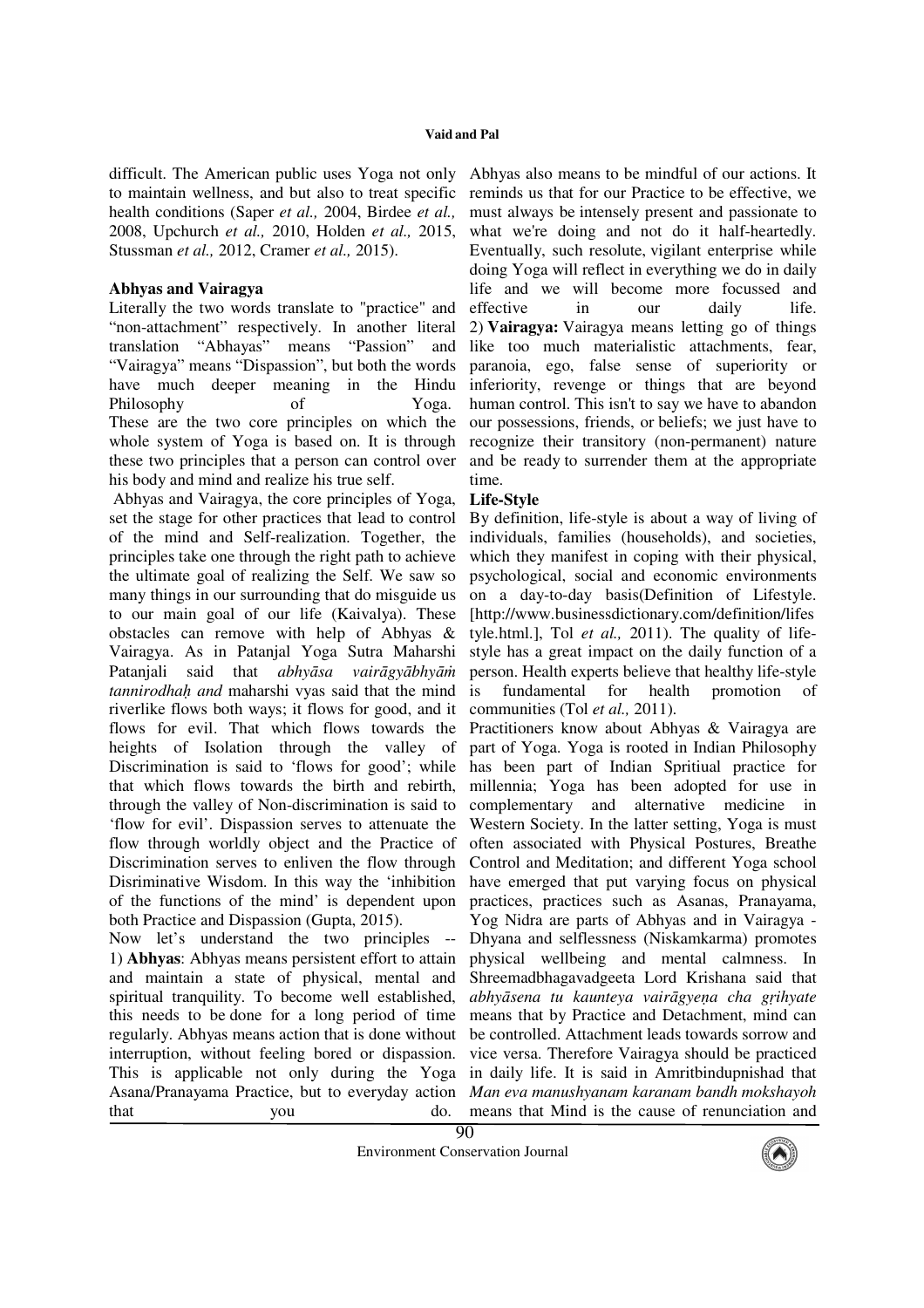difficult. The American public uses Yoga not only to maintain wellness, and but also to treat specific health conditions (Saper *et al.,* 2004, Birdee *et al.,* 2008, Upchurch *et al.,* 2010, Holden *et al.,* 2015, Stussman *et al.,* 2012, Cramer *et al.,* 2015).

### **Abhyas and Vairagya**

Literally the two words translate to "practice" and "non-attachment" respectively. In another literal translation "Abhayas" means "Passion" and "Vairagya" means "Dispassion", but both the words have much deeper meaning in the Hindu Philosophy of Yoga. These are the two core principles on which the whole system of Yoga is based on. It is through these two principles that a person can control over his body and mind and realize his true self.

 Abhyas and Vairagya, the core principles of Yoga, set the stage for other practices that lead to control of the mind and Self-realization. Together, the principles take one through the right path to achieve the ultimate goal of realizing the Self. We saw so many things in our surrounding that do misguide us to our main goal of our life (Kaivalya). These obstacles can remove with help of Abhyas & Vairagya. As in Patanjal Yoga Sutra Maharshi Patanjali said that *abhyāsa vairāgyābhyāṁ tannirodhaḥ and* maharshi vyas said that the mind riverlike flows both ways; it flows for good, and it flows for evil. That which flows towards the heights of Isolation through the valley of Discrimination is said to 'flows for good'; while that which flows towards the birth and rebirth, through the valley of Non-discrimination is said to 'flow for evil'. Dispassion serves to attenuate the flow through worldly object and the Practice of Discrimination serves to enliven the flow through Disriminative Wisdom. In this way the 'inhibition of the functions of the mind' is dependent upon both Practice and Dispassion (Gupta, 2015).

Now let's understand the two principles -- 1) **Abhyas**: Abhyas means persistent effort to attain and maintain a state of physical, mental and spiritual tranquility. To become well established, this needs to be done for a long period of time regularly. Abhyas means action that is done without interruption, without feeling bored or dispassion. This is applicable not only during the Yoga Asana/Pranayama Practice, but to everyday action that you do.

Abhyas also means to be mindful of our actions. It reminds us that for our Practice to be effective, we must always be intensely present and passionate to what we're doing and not do it half-heartedly. Eventually, such resolute, vigilant enterprise while doing Yoga will reflect in everything we do in daily life and we will become more focussed and effective in our daily life. 2) **Vairagya:** Vairagya means letting go of things like too much materialistic attachments, fear, paranoia, ego, false sense of superiority or inferiority, revenge or things that are beyond human control. This isn't to say we have to abandon our possessions, friends, or beliefs; we just have to recognize their transitory (non-permanent) nature and be ready to surrender them at the appropriate time.

#### **Life-Style**

By definition, life-style is about a way of living of individuals, families (households), and societies, which they manifest in coping with their physical, psychological, social and economic environments on a day-to-day basis(Definition of Lifestyle. [http://www.businessdictionary.com/definition/lifes tyle.html.], Tol *et al.,* 2011). The quality of lifestyle has a great impact on the daily function of a person. Health experts believe that healthy life-style is fundamental for health promotion of communities (Tol *et al.,* 2011).

Practitioners know about Abhyas & Vairagya are part of Yoga. Yoga is rooted in Indian Philosophy has been part of Indian Spritiual practice for millennia; Yoga has been adopted for use in complementary and alternative medicine in Western Society. In the latter setting, Yoga is must often associated with Physical Postures, Breathe Control and Meditation; and different Yoga school have emerged that put varying focus on physical practices, practices such as Asanas, Pranayama, Yog Nidra are parts of Abhyas and in Vairagya - Dhyana and selflessness (Niskamkarma) promotes physical wellbeing and mental calmness. In Shreemadbhagavadgeeta Lord Krishana said that *abhyāsena tu kaunteya vairāgyeṇa cha gṛihyate* means that by Practice and Detachment, mind can be controlled. Attachment leads towards sorrow and vice versa. Therefore Vairagya should be practiced in daily life. It is said in Amritbindupnishad that *Man eva manushyanam karanam bandh mokshayoh* means that Mind is the cause of renunciation and